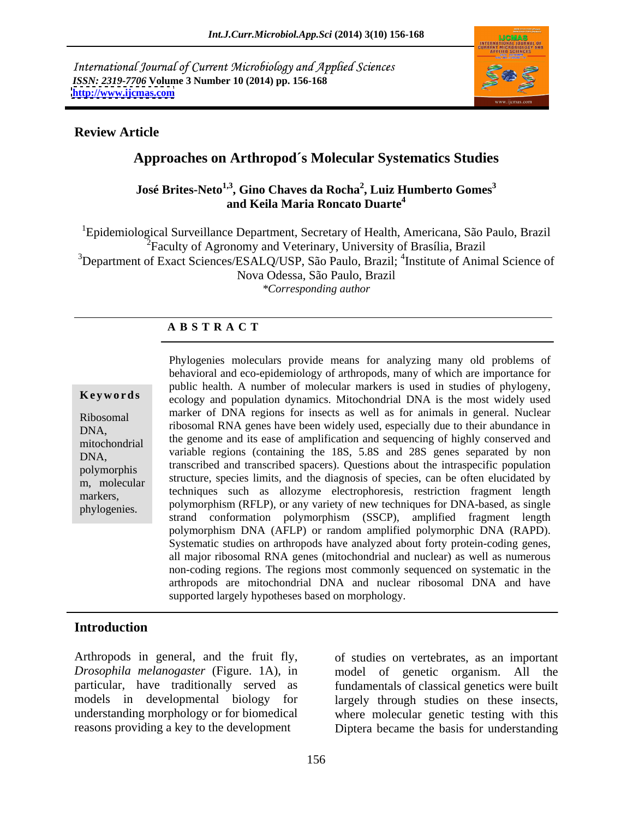International Journal of Current Microbiology and Applied Sciences *ISSN: 2319-7706* **Volume 3 Number 10 (2014) pp. 156-168 <http://www.ijcmas.com>**



## **Review Article**

## **Approaches on Arthropod´s Molecular Systematics Studies**

## **José Brites-Neto<sup>1,3</sup>, Gino Chaves da Rocha<sup>2</sup>, Luiz Humberto Gomes<sup>3</sup> , Luiz Humberto Gomes<sup>3</sup> and Keila Maria Roncato Duarte4**

1Epidemiological Surveillance Department, Secretary of Health, Americana, São Paulo, Brazil  $2^2$ Faculty of Agronomy and Veterinary, University of Brasília, Brazil <sup>3</sup>Department of Exact Sciences/ESALQ/USP, São Paulo, Brazil; <sup>4</sup>Institute of Animal Science of Nova Odessa, São Paulo, Brazil *\*Corresponding author* 

## **A B S T R A C T**

**Keywords** ecology and population dynamics. Mitochondrial DNA is the most widely used Ribosomal marker of DNA regions for insects as well as for animals in general. Nuclear DNA, ribosomal RNA genes have been widely used, especially due to their abundance in mitochondrial the genome and us ease of amplification and sequencing of highly conserved and while variable regions (containing the 18S, 5.8S and 28S genes separated by non<br>DNA, polymorphis transcribed and transcribed spacers). Questions about the intraspecific population molecular structure, species limits, and the diagnosis of species, can be often elucidated by structure, species limits, and the diagnosis of species, can be often elucidated by markers, techniques such as allozyme electrophoresis, restriction fragment length techniques such as allozyme electrophoresis, restriction fragment length phylogenies. polymorphism (RFLP), or any variety of new techniques for DNA-based, as single Phylogenies moleculars provide means for analyzing many old problems of behavioral and eco-epidemiology of arthropods, many of which are importance for public health. A number of molecular markers is used in studies of phylogeny, the genome and its ease of amplification and sequencing of highly conserved and strand conformation polymorphism (SSCP), amplified fragment length polymorphism DNA (AFLP) or random amplified polymorphic DNA (RAPD). Systematic studies on arthropods have analyzed about forty protein-coding genes, all major ribosomal RNA genes (mitochondrial and nuclear) as well as numerous non-coding regions. The regions most commonly sequenced on systematic in the arthropods are mitochondrial DNA and nuclear ribosomal DNA and have supported largely hypotheses based on morphology.

## **Introduction**

Arthropods in general, and the fruit fly, of studies on vertebrates, as an important *Drosophila melanogaster* (Figure. 1A), in model of genetic organism. All the particular, have traditionally served as fundamentals of classical genetics were built models in developmental biology for largely through studies on these insects, understanding morphology or for biomedical where molecular genetic testing with this

reasons providing a key to the development Diptera became the basis for understanding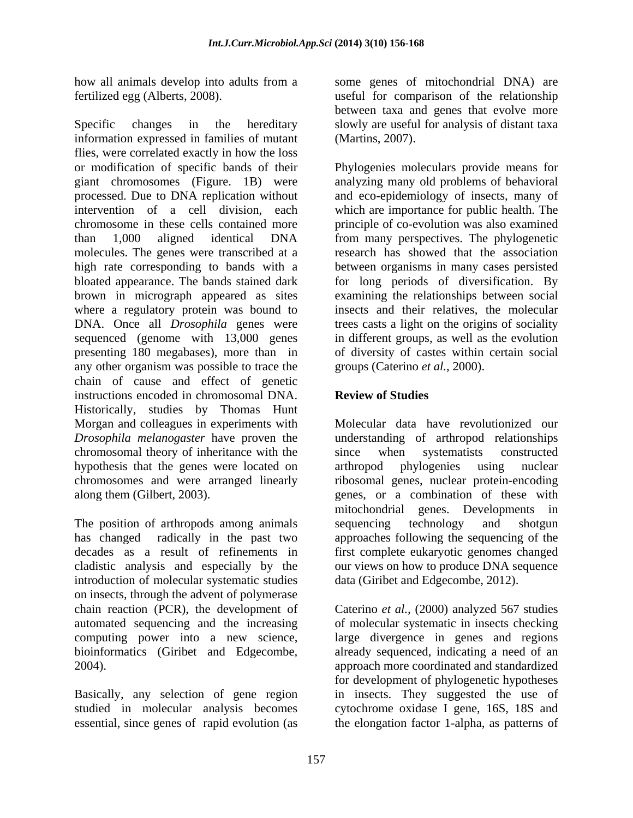Specific changes in the hereditary slowly are useful for analysis of distant taxa information expressed in families of mutant flies, were correlated exactly in how the loss or modification of specific bands of their Phylogenies moleculars provide means for giant chromosomes (Figure. 1B) were analyzing many old problems of behavioral processed. Due to DNA replication without and eco-epidemiology of insects, many of intervention of a cell division, each which are importance for public health. The chromosome in these cells contained more principle of co-evolution was also examined than 1,000 aligned identical DNA from many perspectives. The phylogenetic molecules. The genes were transcribed at a research has showed that the association high rate corresponding to bands with a between organisms in many cases persisted bloated appearance. The bands stained dark for long periods of diversification. By brown in micrograph appeared as sites where a regulatory protein was bound to DNA. Once all *Drosophila* genes were trees casts a light on the origins of sociality sequenced (genome with 13,000 genes presenting 180 megabases), more than in of diversity of castes within certain social any other organism was possible to trace the chain of cause and effect of genetic instructions encoded in chromosomal DNA. Historically, studies by Thomas Hunt Morgan and colleagues in experiments with *Drosophila melanogaster* have proven the understanding of arthropod relationships chromosomal theory of inheritance with the hypothesis that the genes were located on arthropod phylogenies using nuclear chromosomes and were arranged linearly ribosomal genes, nuclear protein-encoding along them (Gilbert, 2003). genes, or a combination of these with

The position of arthropods among animals sequencing technology and shotgun has changed radically in the past two approaches following the sequencing of the decades as a result of refinements in first complete eukaryotic genomes changed cladistic analysis and especially by the introduction of molecular systematic studies data (Giribet and Edgecombe, 2012). on insects, through the advent of polymerase chain reaction (PCR), the development of Caterino *et al.*, (2000) analyzed 567 studies automated sequencing and the increasing of molecular systematic in insects checking computing power into a new science, large divergence in genes and regions bioinformatics (Giribet and Edgecombe, already sequenced, indicating a need of an

Basically, any selection of gene region studied in molecular analysis becomes

how all animals develop into adults from a some genes of mitochondrial DNA) are fertilized egg (Alberts, 2008). useful for comparison of the relationship between taxa and genes that evolve more (Martins, 2007).

> examining the relationships between social insects and their relatives, the molecular in different groups, aswell as the evolution groups (Caterino *et al.,* 2000).

## **Review of Studies**

Molecular data have revolutionized our since when systematists constructed arthropod phylogenies using nuclear mitochondrial genes. Developments in sequencing technology and shotgun our views on how to produce DNA sequence

2004). approach more coordinated and standardized essential, since genes of rapid evolution (as the elongation factor 1-alpha, as patterns ofdata (Giribet and Edgecombe, 2012). Caterino *et al.,* (2000) analyzed <sup>567</sup> studies for development of phylogenetic hypotheses in insects. They suggested the use of cytochrome oxidase I gene, 16S, 18S and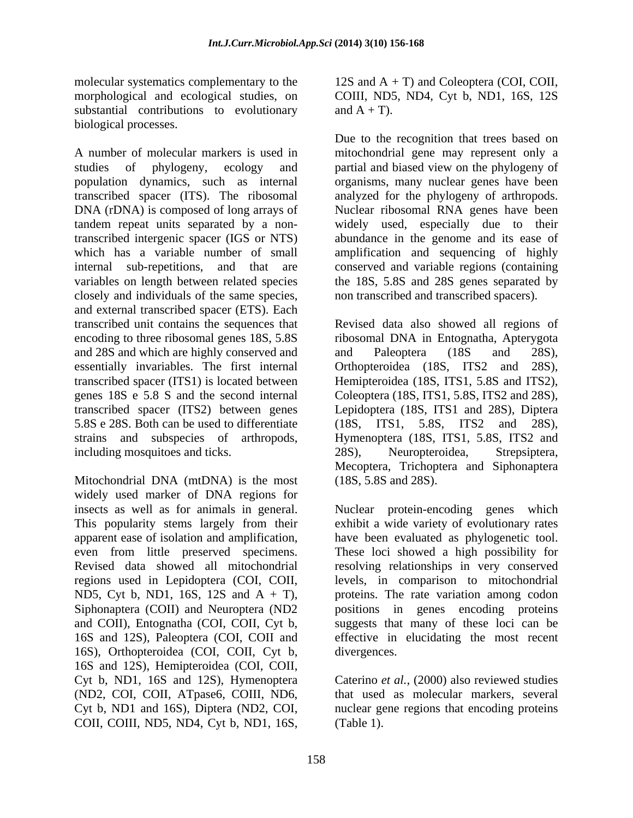molecular systematics complementary to the 12S and A + T) and Coleoptera (COI, COII, morphological and ecological studies, on COIII, ND5, ND4, Cyt b, ND1, 16S, 12S substantial contributions to evolutionary and  $A + T$ ). biological processes.

A number of molecular markers is used in mitochondrial gene may represent only a studies of phylogeny, ecology and partial and biased view on the phylogeny of population dynamics, such as internal organisms, many nuclear genes have been transcribed spacer (ITS). The ribosomal DNA (rDNA) is composed of long arrays of Nuclear ribosomal RNA genes have been tandem repeat units separated by a non-widely used, especially due to their transcribed intergenic spacer (IGS or NTS) abundance in the genome and its ease of which has a variable number of small amplification and sequencing of highly internal sub-repetitions, and that are conserved and variable regions (containing variables on length between related species the 18S, 5.8S and 28S genes separated by closely and individuals of the same species, and external transcribed spacer (ETS). Each transcribed unit contains the sequences that Revised data also showed all regions of encoding to three ribosomal genes 18S, 5.8S ribosomal DNA in Entognatha, Apterygota and 28S and which are highly conserved and and Paleoptera (18S and 28S), essentially invariables. The first internal Orthopteroidea (18S, ITS2 and 28S), transcribed spacer (ITS1) is located between Hemipteroidea (18S, ITS1, 5.8S and ITS2), genes 18S e 5.8 S and the second internal Coleoptera (18S, ITS1, 5.8S, ITS2 and 28S), transcribed spacer (ITS2) between genes Lepidoptera (18S, ITS1 and 28S), Diptera 5.8S e 28S. Both can be used to differentiate (18S, ITS1, 5.8S, ITS2 and 28S), strains and subspecies of arthropods, Hymenoptera (18S, ITS1, 5.8S, ITS2 and including mosquitoes and ticks. 28S), Neuropteroidea, Strepsiptera,

Mitochondrial DNA (mtDNA) is the most widely used marker of DNA regions for insects as well as for animals in general. regions used in Lepidoptera (COI, COII, ND5, Cyt b, ND1, 16S, 12S and A + T), 16S), Orthopteroidea (COI, COII, Cyt b, 16S and 12S), Hemipteroidea (COI, COII, Cyt b, ND1, 16S and 12S), Hymenoptera Caterino *et al.,* (2000) also reviewed studies (ND2, COI, COII, ATpase6, COIII, ND6, that used as molecular markers, several Cyt b, ND1 and 16S), Diptera (ND2, COI, an unclear gene regions that encoding proteins COII, COIII, ND5, ND4, Cyt b, ND1, 16S,

and  $A + T$ ).

Due to the recognition that trees based on analyzed for the phylogeny of arthropods. non transcribed and transcribed spacers).

and Paleoptera (18S and 28S),  $(18S, \text{ITS1}, 5.8S, \text{ITS2})$ 28S), Neuropteroidea, Strepsiptera, Mecoptera, Trichoptera and Siphonaptera (18S, 5.8S and 28S).

This popularity stems largely from their exhibit a wide variety of evolutionary rates apparent ease of isolation and amplification, have been evaluated as phylogenetic tool. even from little preserved specimens. These loci showed a high possibility for Revised data showed all mitochondrial resolving relationships in very conserved Siphonaptera (COII) and Neuroptera (ND2 spositions in genes encoding proteins and COII), Entognatha (COI, COII, Cyt b, suggests that many of these loci can be 16S and 12S), Paleoptera (COI, COII and effective in elucidating the most recent Nuclear protein-encoding genes which levels, in comparison to mitochondrial proteins. The rate variation among codon divergences.

(Table 1).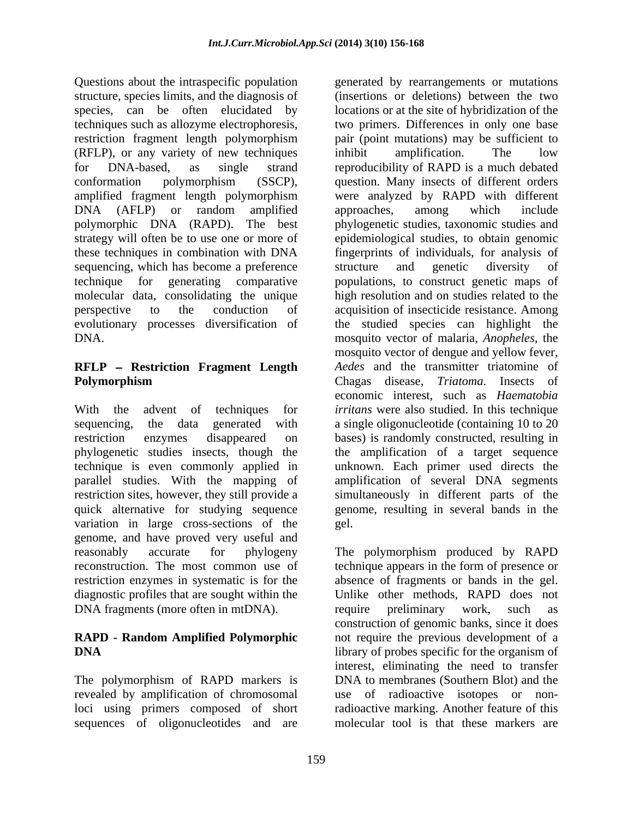Questions about the intraspecific population generated by rearrangements or mutations structure, species limits, and the diagnosis of restriction fragment length polymorphism (RFLP), or any variety of new techniques DNA (AFLP) or random amplified approaches, among which include polymorphic DNA (RAPD). The best sequencing, which has become a preference structure and genetic diversity of

# **RFLP Restriction Fragment Length**

variation in large cross-sections of the gel. genome, and have proved very useful and diagnostic profiles that are sought within the DNA fragments (more often in mtDNA). The require preliminary work, such as

The polymorphism of RAPD markers is loci using primers composed of short sequences of oligonucleotides and are

species, can be often elucidated by locations or at the site of hybridization of the techniques such as allozyme electrophoresis, two primers. Differences in only one base for DNA-based, as single strand reproducibility of RAPD is a much debated conformation polymorphism (SSCP), question. Many insects of different orders amplified fragment length polymorphism were analyzed by RAPD with different strategy will often be to use one or more of epidemiological studies, to obtain genomic these techniques in combination with DNA fingerprints of individuals, for analysis of technique for generating comparative populations, to construct genetic maps of molecular data, consolidating the unique high resolution and on studies related to the perspective to the conduction of acquisition of insecticide resistance. Among evolutionary processes diversification of the studied species can highlight the DNA. mosquito vector of malaria, *Anopheles*, the **Polymorphism** Chagas disease, Triatoma. Insects of With the advent of techniques for *irritans* were also studied. In this technique sequencing, the data generated with a single oligonucleotide (containing 10 to 20 restriction enzymes disappeared on bases) is randomly constructed, resulting in phylogenetic studies insects, though the the amplification of a target sequence technique is even commonly applied in unknown. Each primer used directs the parallel studies. With the mapping of amplification of several DNA segments restriction sites, however, they still provide a simultaneously in different parts of the quick alternative for studying sequence genome, resulting in several bands in the (insertions or deletions) between the two pair (point mutations) may be sufficient to inhibit amplification. The low approaches, among which include phylogenetic studies, taxonomic studies and structure and genetic diversity of mosquito vector of dengue and yellow fever, *Aedes* and the transmitter triatomine of Chagas disease, *Triatoma*. Insects of economic interest, such as *Haematobia*  gel.

reasonably accurate for phylogeny The polymorphism produced by RAPD reconstruction. The most common use of technique appears in the form of presence or restriction enzymes in systematic is for the absence of fragments or bands in the gel. **RAPD - Random Amplified Polymorphic** not require the previous development of a **DNA** library of probes specific for the organism of revealed by amplification of chromosomal use of radioactive isotopes or non-Unlike other methods, RAPD does not require preliminary work, such as construction of genomic banks, since it does interest, eliminating the need to transfer DNA to membranes (Southern Blot) and the radioactive marking. Another feature of this molecular tool is that these markers are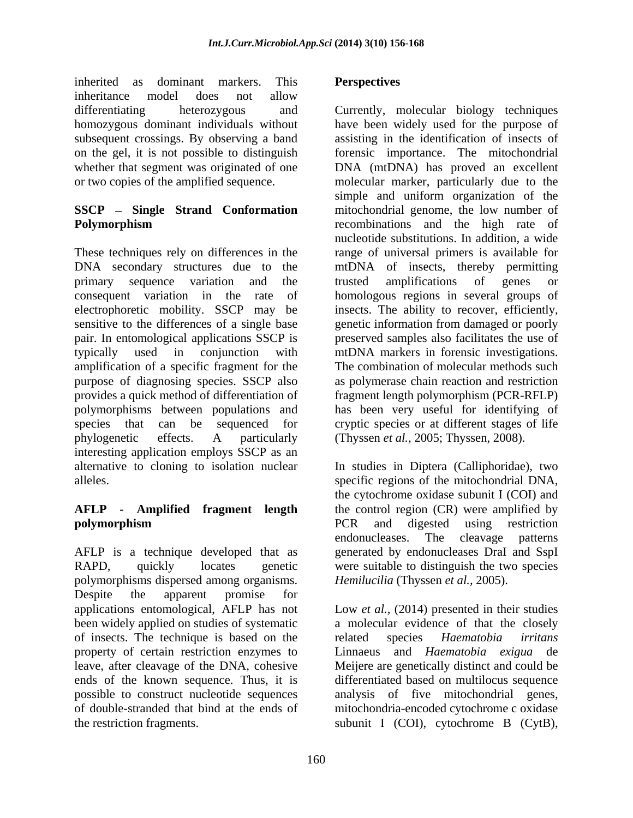inherited as dominant markers. This **Perspectives** inheritance model does not allow subsequent crossings. By observing a band

primary sequence variation and the trusted amplifications of genes or amplification of a specific fragment for the interesting application employs SSCP as an alternative to cloning to isolation nuclear In studies in Diptera (Calliphoridae), two

polymorphisms dispersed among organisms. Despite the apparent promise for of insects. The technique is based on the sected species *Haematobia irritans* 

## **Perspectives**

differentiating heterozygous and Currently, molecular biology techniques homozygous dominant individuals without have been widely used for the purpose of on the gel, it is not possible to distinguish forensic importance. The mitochondrial whether that segment was originated of one DNA (mtDNA) has proved an excellent or two copies of the amplified sequence. molecular marker, particularly due to the **SSCP** – **Single** Strand **Conformation** mitochondrial genome, the low number of **Polymorphism** recombinations and the high rate of These techniques rely on differences in the range of universal primers is available for DNA secondary structures due to the mtDNA of insects, thereby permitting consequent variation in the rate of homologous regions in several groups of electrophoretic mobility. SSCP may be insects. The ability to recover, efficiently, sensitive to the differences of a single base genetic information from damaged or poorly pair. In entomological applications SSCP is preserved samples also facilitates the use of typically used in conjunction with mtDNA markers in forensic investigations. purpose of diagnosing species. SSCP also as polymerase chain reaction and restriction provides a quick method of differentiation of fragment length polymorphism (PCR-RFLP) polymorphisms between populations and has been very useful for identifying of species that can be sequenced for cryptic species or at different stages of life phylogenetic effects. A particularly (Thyssen *et al.,* 2005; Thyssen, 2008). assisting in the identification of insects of simple and uniform organization of the recombinations and the high rate of nucleotide substitutions. In addition, a wide trusted amplifications of genes or The combination of molecular methods such

alleles. specific regions of the mitochondrial DNA, **AFLP - Amplified fragment length** the control region (CR) were amplified by **polymorphism polymorphism polymorphism polymorphism polymorphism polymorphism** AFLP is a technique developed that as generated by endonucleases DraI and SspI RAPD, quickly locates genetic were suitable to distinguish the two species the cytochrome oxidase subunit I (COI) and PCR and digested using restriction endonucleases. The cleavage patterns *Hemilucilia* (Thyssen *et al.,* 2005).

applications entomological, AFLP has not Low *et al.,* (2014) presented in their studies been widely applied on studies of systematic a molecular evidence of that the closely property of certain restriction enzymes to Linnaeus and *Haematobia exigua* de leave, after cleavage of the DNA, cohesive Meijere are genetically distinct and could be ends of the known sequence. Thus, it is differentiated based on multilocus sequence possible to construct nucleotide sequences analysis of five mitochondrial genes, of double-stranded that bind at the ends of mitochondria-encoded cytochrome c oxidase the restriction fragments. subunit I (COI), cytochrome B (CytB),related species *Haematobia irritans*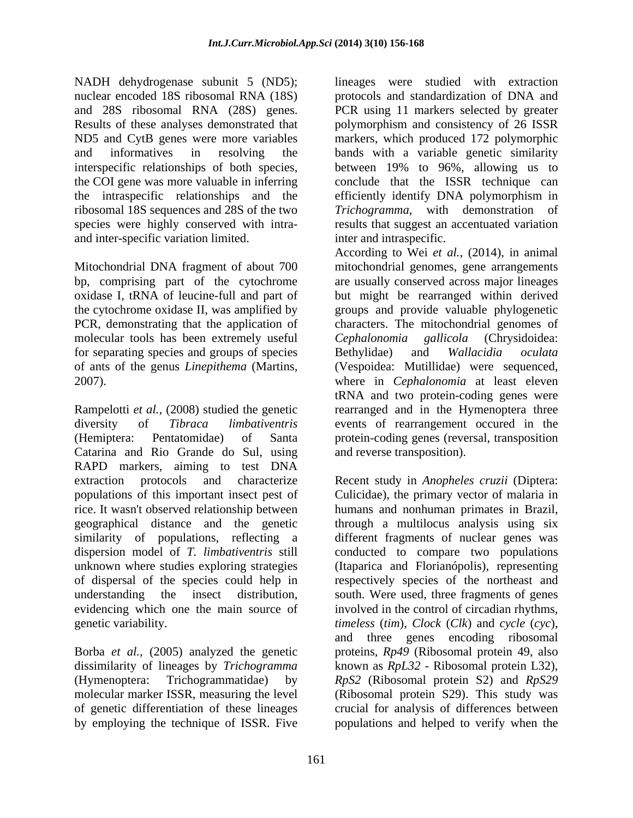ribosomal 18S sequences and 28S of the two Trichogramma, with demonstration of and inter-specific variation limited.

molecular tools has been extremely useful *Cephalonomia gallicola* (Chrysidoidea: for separating species and groups of species Bethylidae) and Wallacidia oculata

Rampelotti *et al.*, (2008) studied the genetic rearranged and in the Hymenoptera three diversity of *Tibraca limbativentris* events of rearrangement occured in the (Hemiptera: Pentatomidae) of Santa protein-coding genes (reversal, transposition Catarina and Rio Grande do Sul, using RAPD markers, aiming to test DNA rice. It wasn't observed relationship between dispersion model of *T. limbativentris* still unknown where studies exploring strategies

NADH dehydrogenase subunit 5 (ND5); lineages were studied with extraction nuclear encoded 18S ribosomal RNA (18S) protocols and standardization of DNA and and 28S ribosomal RNA (28S) genes. PCR using 11 markers selected by greater Results of these analyses demonstrated that polymorphism and consistency of 26 ISSR ND5 and CytB genes were more variables markers, which produced 172 polymorphic and informatives in resolving the bands with a variable genetic similarity interspecific relationships of both species, between 19% to 96%, allowing us to the COI gene was more valuable in inferring conclude that the ISSR technique can the intraspecific relationships and the efficiently identify DNA polymorphism in species were highly conserved with intra- results that suggest an accentuated variation *Trichogramma*, with demonstration inter and intraspecific.

Mitochondrial DNA fragment of about 700 mitochondrial genomes, gene arrangements bp, comprising part of the cytochrome are usually conserved across major lineages oxidase I, tRNA of leucine-full and part of but might be rearranged within derived the cytochrome oxidase II, was amplified by groups and provide valuable phylogenetic PCR, demonstrating that the application of characters. The mitochondrial genomes of of ants of the genus *Linepithema* (Martins, (Vespoidea: Mutillidae) were sequenced, 2007). where in *Cephalonomia* at least eleven According to Wei *et al.,* (2014), in animal *Cephalonomia gallicola* (Chrysidoidea: Bethylidae) and *Wallacidia oculata* tRNA and two protein-coding genes were and reverse transposition).

extraction protocols and characterize Recent study in *Anopheles cruzii* (Diptera: populations of this important insect pest of Culicidae), the primary vector of malaria in geographical distance and the genetic through a multilocus analysis using six similarity of populations, reflecting a different fragments of nuclear genes was of dispersal of the species could help in respectively species of the northeast and understanding the insect distribution, south. Were used, three fragments of genes evidencing which one the main source of involved in the control of circadian rhythms, genetic variability. *timeless* (*tim*), *Clock* (*Clk*) and *cycle* (*cyc*), Borba *et al.*, (2005) analyzed the genetic proteins, *Rp49* (Ribosomal protein 49, also dissimilarity of lineages by *Trichogramma* known as *RpL32* - Ribosomal protein L32), (Hymenoptera: Trichogrammatidae) by *RpS2* (Ribosomal protein S2) and *RpS29*  molecular marker ISSR, measuring the level (Ribosomal protein S29). This study was of genetic differentiation of these lineages crucial for analysis of differences between by employing the technique of ISSR. Five populations and helped to verify when thehumans and nonhuman primates in Brazil, conducted to compare two populations (Itaparica and Florianópolis), representing and three genes encoding ribosomal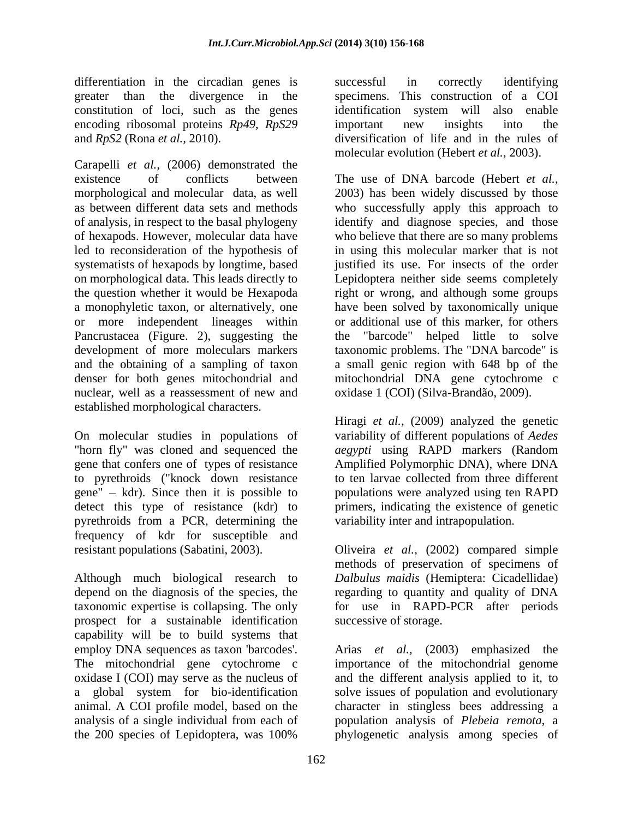differentiation in the circadian genes is successful in correctly identifying constitution of loci, such as the genes identification system will also enable encoding ribosomal proteins *Rp49*, *RpS29* 

Carapelli *et al.,* (2006) demonstrated the existence of conflicts between The use of DNA barcode (Hebert *et al.,* morphological and molecular data, as well 2003) has been widely discussed by those as between different data sets and methods who successfully apply this approach to of analysis, in respect to the basal phylogeny identify and diagnose species, and those of hexapods. However, molecular data have who believe that there are so many problems led to reconsideration of the hypothesis of in using this molecular marker that is not systematists of hexapods by longtime, based on morphological data. This leads directly to Lepidoptera neither side seems completely the question whether it would be Hexapoda right or wrong, and although some groups a monophyletic taxon, or alternatively, one have been solved by taxonomically unique or more independent lineages within Pancrustacea (Figure. 2), suggesting the the development of more moleculars markers taxonomic problems. The "DNA barcode" is and the obtaining of a sampling of taxon a small genic region with 648 bp of the denser for both genes mitochondrial and mitochondrial DNA gene cytochrome c nuclear, well as a reassessment of new and oxidase 1 (COI) (Silva-Brandão, 2009). established morphological characters.

On molecular studies in populations of "horn fly" was cloned and sequenced the *aegypti* using RAPD markers (Random gene that confers one of types of resistance Amplified Polymorphic DNA), where DNA to pyrethroids ("knock down resistance gene" kdr). Since then it is possible to populations were analyzed using ten RAPD detect this type of resistance (kdr) to primers, indicating the existence of genetic pyrethroids from a PCR, determining the frequency of kdr for susceptible and resistant populations (Sabatini, 2003). Oliveira *et al.,* (2002) compared simple

Although much biological research to *Dalbulus maidis* (Hemiptera: Cicadellidae) depend on the diagnosis of the species, the regarding to quantity and quality of DNA taxonomic expertise is collapsing. The only for use in RAPD-PCR after periods prospect for a sustainable identification capability will be to build systems that

greater than the divergence in the specimens. This construction of a COI and *RpS2* (Rona *et al.,* 2010). diversification of life and in the rules of successful in correctly identifying identification system will also enable important new insights into the molecular evolution (Hebert *et al.,* 2003).

> justified its use. For insects of the order or additional use of this marker, for others "barcode" helped little to solve oxidase 1 (COI) (Silva-Brandão, 2009).

> Hiragi *et al.,* (2009) analyzed the genetic variability of different populations of *Aedes*  to ten larvae collected from three different variability inter and intrapopulation.

> methods of preservation of specimens of successive of storage.

employ DNA sequences as taxon 'barcodes'. Arias *et al.,* (2003) emphasized the The mitochondrial gene cytochrome c importance of the mitochondrial genome oxidase I (COI) may serve as the nucleus of and the different analysis applied to it, to a global system for bio-identification solve issues of population and evolutionary animal. A COI profile model, based on the character in stingless bees addressing a analysis of a single individual from each of population analysis of *Plebeia remota*, a the 200 species of Lepidoptera, was 100% phylogenetic analysis among species of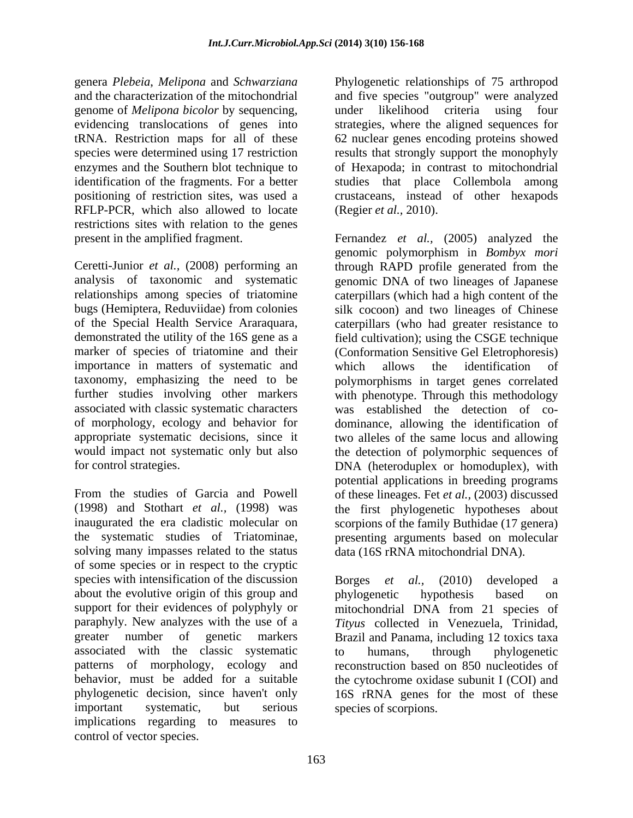genome of *Melipona bicolor* by sequencing, RFLP-PCR, which also allowed to locate restrictions sites with relation to the genes

importance in matters of systematic and which allows the identification of associated with classic systematic characters

solving many impasses related to the status of some species or in respect to the cryptic species with intensification of the discussion Borges et al., (2010) developed a about the evolutive origin of this group and phylogenetic hypothesis based on support for their evidences of polyphyly or mitochondrial DNA from 21 species of paraphyly. New analyzes with the use of a *Tityus* collected in Venezuela, Trinidad, greater number of genetic markers Brazil and Panama, including 12 toxics taxa associated with the classic systematic patterns of morphology, ecology and reconstruction based on 850 nucleotides of behavior, must be added for a suitable the cytochrome oxidase subunit I (COI) and phylogenetic decision, since haven't only important systematic, but serious species of scorpions. implications regarding to measures to control of vector species.

genera *Plebeia*, *Melipona* and *Schwarziana* Phylogenetic relationships of 75 arthropod and the characterization of the mitochondrial and five species "outgroup" were analyzed evidencing translocations of genes into strategies, where the aligned sequences for tRNA. Restriction maps for all of these 62 nuclear genes encoding proteins showed species were determined using 17 restriction results that strongly support the monophyly enzymes and the Southern blot technique to of Hexapoda; in contrast to mitochondrial identification of the fragments. For a better studies that place Collembola among positioning of restriction sites, was used a crustaceans, instead of other hexapods under likelihood criteria using four (Regier *et al.,* 2010).

present in the amplified fragment. Fernandez *et al.,* (2005) analyzed the Ceretti-Junior *et al.,* (2008) performing an through RAPD profile generated from the analysis of taxonomic and systematic genomic DNA of two lineages of Japanese relationships among species of triatomine caterpillars (which had a high content of the bugs (Hemiptera, Reduviidae) from colonies silk cocoon) and two lineages of Chinese of the Special Health Service Araraquara, caterpillars (who had greater resistance to demonstrated the utility of the 16S gene as a field cultivation); using the CSGE technique marker of species of triatomine and their (Conformation Sensitive Gel Eletrophoresis) taxonomy, emphasizing the need to be polymorphisms in target genes correlated further studies involving other markers with phenotype. Through this methodology of morphology, ecology and behavior for dominance, allowing the identification of appropriate systematic decisions, since it two alleles of the same locus and allowing would impact not systematic only but also the detection of polymorphic sequences of for control strategies. DNA (heteroduplex or homoduplex), with From the studies of Garcia and Powell of these lineages. Fet *et al.*, (2003) discussed (1998) and Stothart *et al.,* (1998) was the first phylogenetic hypotheses about inaugurated the era cladistic molecular on scorpions of the family Buthidae (17 genera) the systematic studies of Triatominae, presenting arguments based on molecular genomic polymorphism in *Bombyx mori* which allows the identification of was established the detection of co potential applications in breeding programs data (16S rRNA mitochondrial DNA).

> Borges *et al.,* (2010) developed a phylogenetic hypothesis based on to humans, through phylogenetic 16S rRNA genes for the most of these species of scorpions.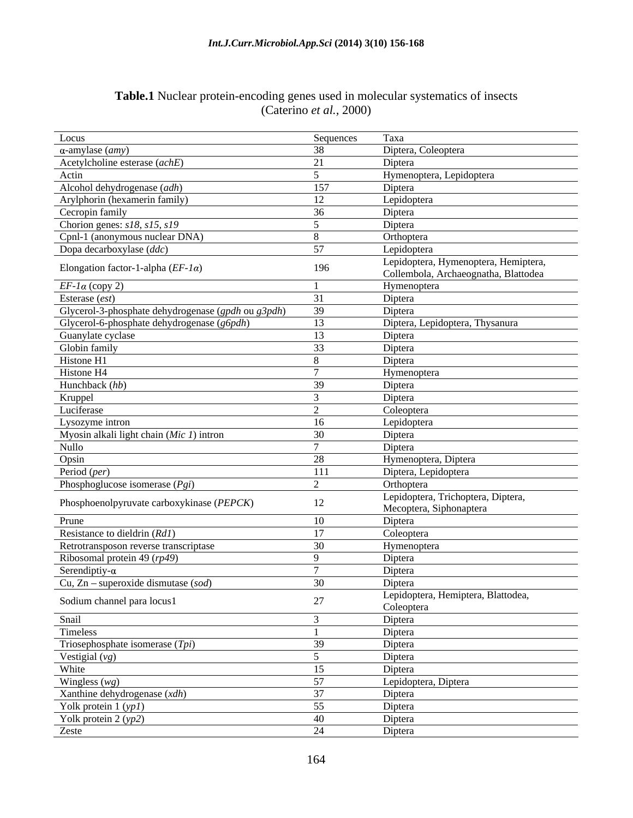## **Table.1** Nuclear protein-encoding genes used in molecular systematics of insects (Caterino *et al.,* 2000)

| Locus                                              | Sequences               | Taxa                                                                         |
|----------------------------------------------------|-------------------------|------------------------------------------------------------------------------|
| $\alpha$ -amylase ( <i>amy</i> )                   | 38                      | Diptera, Coleoptera                                                          |
| Acetylcholine esterase (achE)                      | 21                      | Diptera                                                                      |
| Actin                                              | $\sim$                  | Hymenoptera, Lepidoptera                                                     |
| Alcohol dehydrogenase (adh)                        | 157                     | Diptera                                                                      |
| Arylphorin (hexamerin family)                      | 12                      | Lepidoptera                                                                  |
| Cecropin family                                    | 36                      | Diptera                                                                      |
| Chorion genes: $s18, s15, s19$                     | $\overline{\mathbf{a}}$ | Diptera                                                                      |
| Cpnl-1 (anonymous nuclear DNA)                     |                         | Orthoptera                                                                   |
| Dopa decarboxylase $\overline{(ddc)}$              | 57                      | Lepidoptera                                                                  |
| Elongation factor-1-alpha $(EF-I\alpha)$           | 196                     | Lepidoptera, Hymenoptera, Hemiptera,<br>Collembola, Archaeognatha, Blattodea |
| $EF$ -1 $\alpha$ (copy 2)                          |                         | Hymenoptera                                                                  |
| Esterase (est)                                     | 31                      | Diptera                                                                      |
| Glycerol-3-phosphate dehydrogenase (gpdh ou g3pdh) | 39                      | Diptera                                                                      |
| Glycerol-6-phosphate dehydrogenase (g6pdh)         | 13                      | Diptera, Lepidoptera, Thysanura                                              |
| Guanylate cyclase                                  | 13                      | Diptera                                                                      |
| Globin family                                      | 33                      | Diptera                                                                      |
| Histone H1                                         | 8                       | Diptera                                                                      |
| Histone H4                                         |                         | Hymenoptera                                                                  |
| Hunchback $(hb)$                                   | 39                      | Diptera                                                                      |
| Kruppel                                            |                         | Diptera                                                                      |
| Luciferase                                         | $\bigcap$               | Coleoptera                                                                   |
| Lysozyme intron                                    | 16                      | Lepidoptera                                                                  |
| Myosin alkali light chain (Mic 1) intron           | 30                      | Diptera                                                                      |
| Nullo                                              |                         | Diptera                                                                      |
| Opsin                                              | 28                      | Hymenoptera, Diptera                                                         |
| Period (per)                                       | 111                     | Diptera, Lepidoptera                                                         |
| Phosphoglucose isomerase $(Pgi)$                   | 2                       | Orthoptera                                                                   |
|                                                    |                         | Lepidoptera, Trichoptera, Diptera,                                           |
| Phosphoenolpyruvate carboxykinase (PEPCK)          | 12                      | Mecoptera, Siphonaptera                                                      |
| Prune                                              | 10                      | Diptera                                                                      |
| Resistance to dieldrin $(RdI)$                     | 17                      | Coleoptera                                                                   |
| Retrotransposon reverse transcriptase              | 30                      | Hymenoptera                                                                  |
| Ribosomal protein 49 $(rp49)$                      | $\mathbf Q$             | Diptera                                                                      |
| Serendiptiy- $\alpha$                              |                         | Diptera                                                                      |
| Cu, Zn – superoxide dismutase $(sod)$              | 30                      | Diptera                                                                      |
| Sodium channel para locus1                         | $27\,$                  | Lepidoptera, Hemiptera, Blattodea,<br>Coleoptera                             |
| Snail                                              | $\mathcal{R}$           | Diptera                                                                      |
| Timeless                                           |                         | Diptera                                                                      |
| Triosephosphate isomerase $(Tpi)$                  | 39                      | Diptera                                                                      |
| Vestigial $(vg)$                                   | $\sim$                  | Diptera                                                                      |
| White                                              | 15                      | Diptera                                                                      |
| Wingless $(wg)$                                    | 57                      |                                                                              |
| Xanthine dehydrogenase $(xdh)$                     | 37                      | Lepidoptera, Diptera                                                         |
|                                                    |                         | Diptera                                                                      |
| Yolk protein $1 (yp1)$                             | 55                      | Diptera                                                                      |
| Yolk protein $2(yp2)$                              | 40                      | Diptera                                                                      |
| Zeste                                              | 24                      | Diptera                                                                      |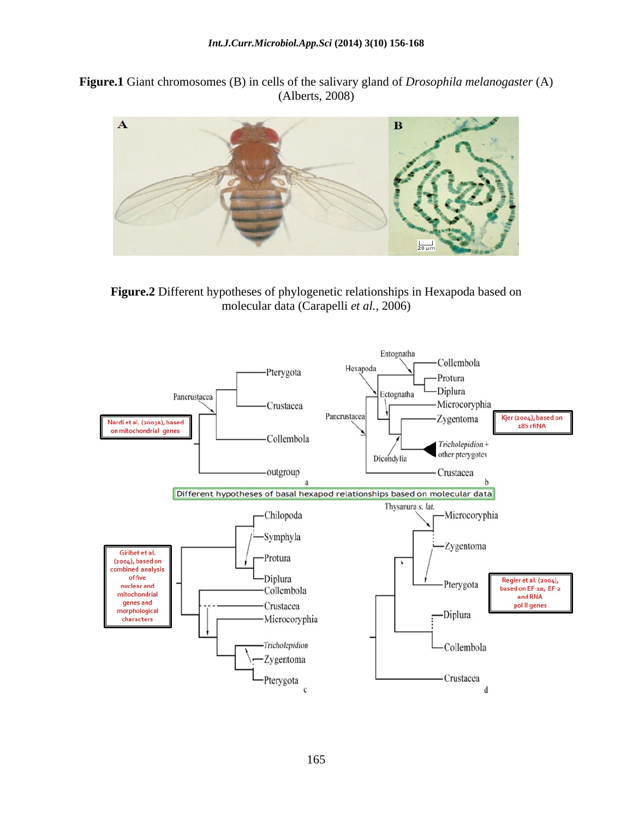**Figure.1** Giant chromosomes (B) in cells of the salivary gland of *Drosophila melanogaster* (A) (Alberts, 2008)



**Figure.2** Different hypotheses of phylogenetic relationships in Hexapoda based on molecular data (Carapelli *et al.,* 2006)

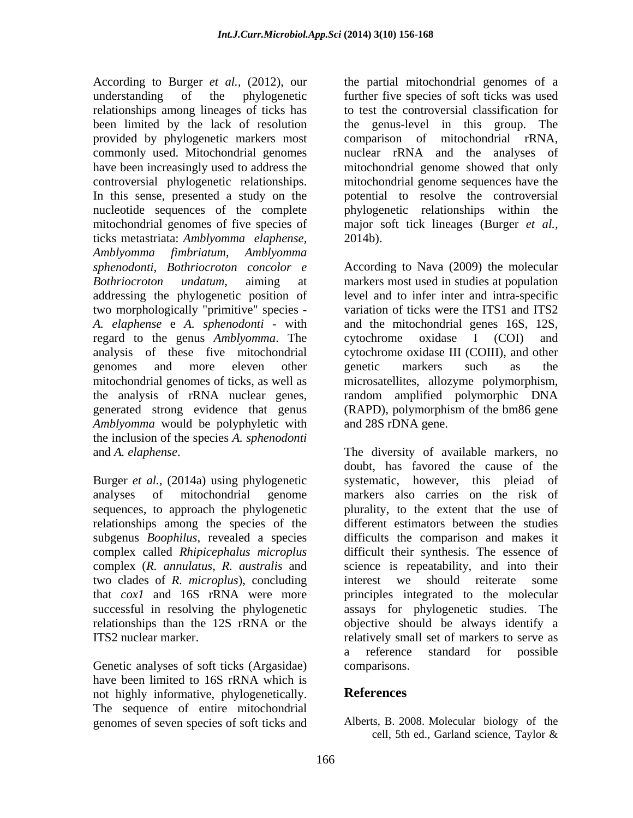According to Burger *et al.,* (2012), our the partial mitochondrial genomes of a understanding of the phylogenetic further five species of soft ticks was used relationships among lineages of ticks has been limited by the lack of resolution the genus-level in this group. The provided by phylogenetic markers most comparison of mitochondrial rRNA, commonly used. Mitochondrial genomes nuclear rRNA and the analyses of have been increasingly used to address the mitochondrial genome showed that only controversial phylogenetic relationships. mitochondrial genome sequences have the In this sense, presented a study on the nucleotide sequences of the complete phylogenetic relationships within the mitochondrial genomes of five species of major soft tick lineages (Burger *et al.,* ticks metastriata: *Amblyomma elaphense, Amblyomma fimbriatum, Amblyomma* two morphologically "primitive" species - *A. elaphense* e *A. sphenodonti* - with regard to the genus *Amblyomma*. The cytochrome oxidase I (COI) and analysis of these five mitochondrial cytochrome oxidase III (COIII), and other *Amblyomma* would be polyphyletic with the inclusion of the species *A. sphenodonti*

Burger *et al.,* (2014a) using phylogenetic sequences, to approach the phylogenetic relationships among the species of the subgenus *Boophilus*, revealed a species two clades of *R. microplus*), concluding relationships than the 12S rRNA or the

Genetic analyses of soft ticks (Argasidae) comparisons. have been limited to 16S rRNA which is not highly informative, phylogenetically. **References** The sequence of entire mitochondrial genomes of seven species of soft ticks and

to test the controversial classification for potential to resolve the controversial 2014b).

*sphenodonti, Bothriocroton concolor e* According to Nava (2009) the molecular *Bothriocroton undatum*, aiming at markers most used in studies at population addressing the phylogenetic position of level and to infer inter and intra-specific analysis of these five mitochondrial cytochrome oxidase III (COIII), and other genomes and more eleven other genetic markers such as the mitochondrial genomes of ticks, as well as microsatellites, allozyme polymorphism, the analysis of rRNA nuclear genes, random amplified polymorphic DNA generated strong evidence that genus (RAPD), polymorphism of the bm86 gene variation of ticks were the ITS1 and ITS2 and the mitochondrial genes 16S, 12S,  $\text{cytochrome}$   $\text{oxidase}$  I  $\text{(COI)}$ genetic markers such as the and 28S rDNA gene.

and *A. elaphense*. The diversity of available markers, no analyses of mitochondrial genome markers also carries on the risk of complex called *Rhipicephalus microplus* difficult their synthesis. The essence of complex (*R. annulatus*, *R. australis* and science is repeatability, and into their that *cox1* and 16S rRNA were more principles integrated to the molecular successful in resolving the phylogenetic assays for phylogenetic studies. The ITS2 nuclear marker. The set of markers to serve as expected to the relatively small set of markers to serve as doubt, has favored the cause of the systematic, however, this pleiad of plurality, to the extent that the use of different estimators between the studies difficults the comparison and makes it interest we should reiterate some objective should be always identify a a reference standard for possible comparisons.

## **References**

Alberts, B. 2008. Molecular biology of the cell, 5th ed., Garland science, Taylor &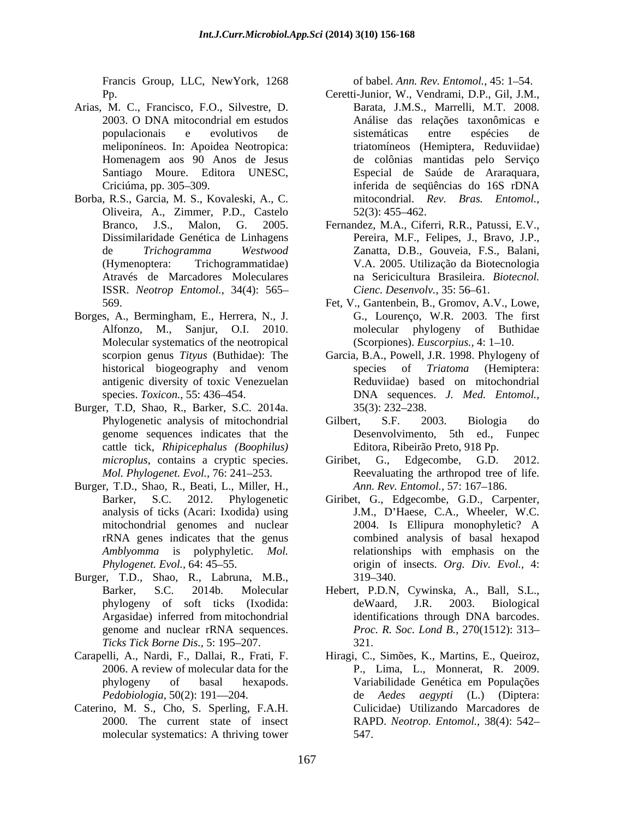Francis Group, LLC, NewYork, 1268

- Arias, M. C., Francisco, F.O., Silvestre, D.
- Borba, R.S., Garcia, M. S., Kovaleski, A., C. Oliveira, A., Zimmer, P.D., Castelo Através de Marcadores Moleculares ISSR. *Neotrop Entomol.,* 34(4): 565
- Borges, A., Bermingham, E., Herrera, N., J. Alfonzo, M., Sanjur, O.I. 2010. Molecular systematics of the neotropical
- Burger, T.D, Shao, R., Barker, S.C. 2014a. genome sequences indicates that the cattle tick, *Rhipicephalus (Boophilus)*
- Burger, T.D., Shao, R., Beati, L., Miller, H.,
- Burger, T.D., Shao, R., Labruna, M.B., *Ticks Tick Borne Dis., 5:* 195–207. 221.
- 
- Caterino, M. S., Cho, S. Sperling, F.A.H. molecular systematics: A thriving tower

of babel. *Ann. Rev. Entomol.*, 45: 1–54.

- Pp. Ceretti-Junior, W., Vendrami, D.P., Gil, J.M., 2003. O DNA mitocondrial em estudos **Análise das relações taxonômicas** e populacionais e evolutivos de meliponíneos. In: Apoidea Neotropica: triatomíneos (Hemiptera, Reduviidae) Homenagem aos 90 Anos de Jesus Santiago Moure. Editora UNESC, Especial de Saúde de Araraquara, Criciúma, pp. 305–309. The estable estado a contra estado a estado a estado a 16S rDNA Barata, J.M.S., Marrelli, M.T. 2008. Análise das relações taxonômicas e sistemáticas entre espécies de de colônias mantidas pelo Serviço inferida de seqüências do 16S rDNA mitocondrial. *Rev. Bras. Entomol.,*  $52(3)$ : 455–462.
- Branco, J.S., Malon, G. 2005. Fernandez, M.A., Ciferri, R.R., Patussi, E.V., Dissimilaridade Genética de Linhagens Pereira, M.F., Felipes, J., Bravo, J.P., de *Trichogramma Westwood* Zanatta, D.B., Gouveia, F.S., Balani, (Hymenoptera: Trichogrammatidae) V.A. 2005. Utilização da Biotecnologia na Sericicultura Brasileira. *Biotecnol. Cienc. Desenvolv.*, 35: 56–61.
- 569. Fet, V., Gantenbein, B., Gromov, A.V., Lowe, G., Lourenço, W.R. 2003. The first phylogeny of Buthidae (Scorpiones). *Euscorpius.*, 4: 1–10.
- scorpion genus *Tityus* (Buthidae): The Garcia, B.A., Powell, J.R. 1998. Phylogeny of historical biogeography and venom species of *Triatoma* (Hemiptera: antigenic diversity of toxic Venezuelan Reduviidae) based on mitochondrial species. *Toxicon.,* 55: 436 454. DNA sequences. *J. Med. Entomol.,* species of *Triatoma* (Hemiptera:  $35(3)$ : 232–238.
- Phylogenetic analysis of mitochondrial Gilbert, S.F. 2003. Biologia do Gilbert, S.F. 2003. Biologia do Desenvolvimento, 5th ed., Funpec Editora, Ribeirão Preto, 918 Pp.
- *microplus*, contains a cryptic species. Giribet, G., Edgecombe, G.D. 2012. Mol. Phylogenet. Evol., 76: 241–253. **Reevaluating the arthropod tree of life.** Edgecombe, G.D. Ann. Rev. Entomol., 57: 167-186.
- Barker, S.C. 2012. Phylogenetic Giribet, G., Edgecombe, G.D., Carpenter, analysis of ticks (Acari: Ixodida) using J.M., D Haese, C.A., Wheeler, W.C. mitochondrial genomes and nuclear 2004. Is Ellipura monophyletic? A rRNA genes indicates that the genus combined analysis of basal hexapod *Amblyomma* is polyphyletic. *Mol.*  relationships with emphasis on the *Phylogenet. Evol.,* 64: 45 55. origin of insects. *Org. Div. Evol.,* 4: 2004. Is Ellipura monophyletic? A  $319 - 340.$
- Barker, S.C. 2014b. Molecular Hebert, P.D.N, Cywinska, A., Ball, S.L., phylogeny of soft ticks (Ixodida: Argasidae) inferred from mitochondrial genome and nuclear rRNA sequences. *Proc. R. Soc. Lond B.*, 270(1512): 313 deWaard, J.R. 2003. Biological identifications through DNA barcodes. 321.
- Carapelli, A., Nardi, F., Dallai, R., Frati, F. Hiragi, C., Simões, K., Martins, E., Queiroz, 2006. A review of molecular data for the P., Lima, L., Monnerat, R. 2009. phylogeny of basal hexapods. *Pedobiologia,* 50(2): 191 204. de *Aedes aegypti* (L.) (Diptera: 2000. The current state of insect RAPD. *Neotrop. Entomol.,* 38(4): 542 Variabilidade Genética em Populações Culicidae) Utilizando Marcadores de 547.